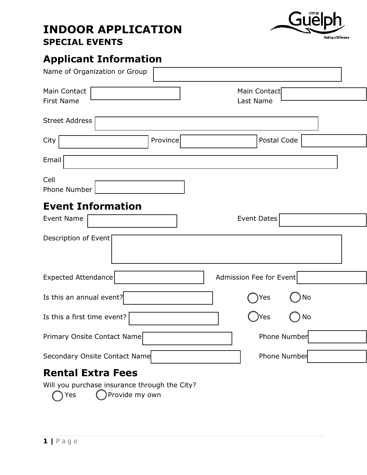### **INDOOR APPLICATION SPECIAL EVENTS**



# **Applicant Information**

| Name of Organization or Group                 |                           |
|-----------------------------------------------|---------------------------|
| Main Contact<br><b>First Name</b>             | Main Contact<br>Last Name |
| <b>Street Address</b>                         |                           |
| Province<br>City                              | Postal Code               |
| Email                                         |                           |
| Cell<br>Phone Number                          |                           |
| <b>Event Information</b><br><b>Event Name</b> | <b>Event Dates</b>        |
| Description of Event                          |                           |
| Expected Attendance                           | Admission Fee for Event   |
| Is this an annual event?                      | No<br>Yes                 |
| Is this a first time event?                   | Yes<br>No                 |
| Primary Onsite Contact Name                   | <b>Phone Number</b>       |
| Secondary Onsite Contact Name                 | Phone Number              |
| <b>Rental Extra Fees</b>                      |                           |
| Will you purchase insurance through the City? |                           |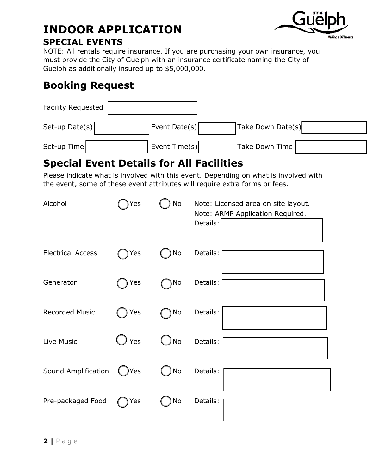#### **INDOOR APPLICATION SPECIAL EVENTS**



#### NOTE: All rentals require insurance. If you are purchasing your own insurance, you must provide the City of Guelph with an insurance certificate naming the City of Guelph as additionally insured up to \$5,000,000.

### **Booking Request**

| Facility Requested |               |                   |  |
|--------------------|---------------|-------------------|--|
| Set-up Date(s)     | Event Date(s) | Take Down Date(s) |  |
| Set-up Time        | Event Time(s) | Take Down Time    |  |

### **Special Event Details for All Facilities**

Please indicate what is involved with this event. Depending on what is involved with the event, some of these event attributes will require extra forms or fees.

| Alcohol                  | Yes           | No        | Note: Licensed area on site layout.<br>Note: ARMP Application Required.<br>Details: |
|--------------------------|---------------|-----------|-------------------------------------------------------------------------------------|
| <b>Electrical Access</b> | Yes           | No        | Details:                                                                            |
| Generator                | Yes           | No        | Details:                                                                            |
| <b>Recorded Music</b>    | Yes           | No        | Details:                                                                            |
| Live Music               | $\bigcup$ Yes | <b>No</b> | Details:                                                                            |
| Sound Amplification      | Yes           | No        | Details:                                                                            |
| Pre-packaged Food        | Yes           | No        | Details:                                                                            |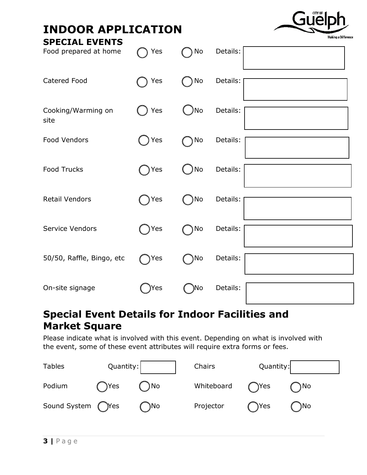| <b>INDOOR APPLICATION</b>                      |     |      |          | <b>Making a Differenc</b> |
|------------------------------------------------|-----|------|----------|---------------------------|
| <b>SPECIAL EVENTS</b><br>Food prepared at home | Yes | No   | Details: |                           |
| Catered Food                                   | Yes | No   | Details: |                           |
| Cooking/Warming on<br>site                     | Yes | )No  | Details: |                           |
| Food Vendors                                   | Yes | No   | Details: |                           |
| <b>Food Trucks</b>                             | Yes | ) No | Details: |                           |
| <b>Retail Vendors</b>                          | Yes | )No  | Details: |                           |
| Service Vendors                                | Yes | ) No | Details: |                           |
| 50/50, Raffle, Bingo, etc                      | Yes | )No  | Details: |                           |
| On-site signage                                | Yes | )No  | Details: |                           |

#### **Special Event Details for Indoor Facilities and Market Square**

Please indicate what is involved with this event. Depending on what is involved with the event, some of these event attributes will require extra forms or fees.

| <b>Tables</b>     | Quantity: |     | Chairs     | Quantity:        |      |
|-------------------|-----------|-----|------------|------------------|------|
| Podium            | )Yes      | )No | Whiteboard | ( <sup>Nes</sup> | ) No |
| Sound System (Yes |           | )No | Projector  | )Yes             | )No  |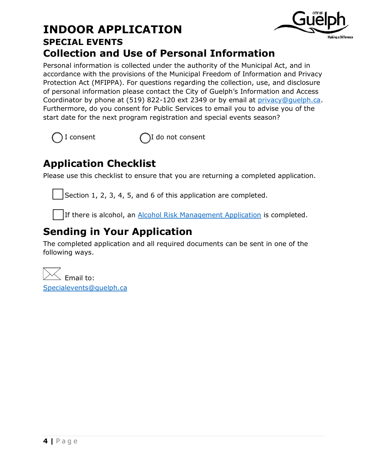#### **INDOOR APPLICATION SPECIAL EVENTS Collection and Use of Personal Information**



 $I$  consent  $\bigcap I$  do not consent

## **Application Checklist**

Please use this checklist to ensure that you are returning a completed application.

Section 1, 2, 3, 4, 5, and 6 of this application are completed.

If there is alcohol, an [Alcohol Risk Management Application](http://guelph.ca/wp-content/uploads/AlcoholRiskManagementPolicyQuestionnaire.pdf) is completed.

# **Sending in Your Application**

The completed application and all required documents can be sent in one of the following ways.

Email to: [Specialevents@guelph.ca](mailto:Specialevents@guelph.ca)